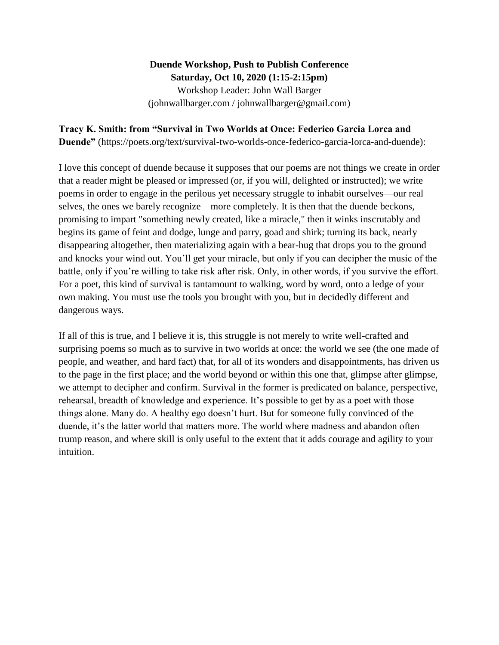# **Duende Workshop, Push to Publish Conference Saturday, Oct 10, 2020 (1:15-2:15pm)** Workshop Leader: John Wall Barger (johnwallbarger.com / johnwallbarger@gmail.com)

**Tracy K. Smith: from "Survival in Two Worlds at Once: Federico Garcia Lorca and** 

**Duende"** (https://poets.org/text/survival-two-worlds-once-federico-garcia-lorca-and-duende):

I love this concept of duende because it supposes that our poems are not things we create in order that a reader might be pleased or impressed (or, if you will, delighted or instructed); we write poems in order to engage in the perilous yet necessary struggle to inhabit ourselves—our real selves, the ones we barely recognize—more completely. It is then that the duende beckons, promising to impart "something newly created, like a miracle," then it winks inscrutably and begins its game of feint and dodge, lunge and parry, goad and shirk; turning its back, nearly disappearing altogether, then materializing again with a bear-hug that drops you to the ground and knocks your wind out. You'll get your miracle, but only if you can decipher the music of the battle, only if you're willing to take risk after risk. Only, in other words, if you survive the effort. For a poet, this kind of survival is tantamount to walking, word by word, onto a ledge of your own making. You must use the tools you brought with you, but in decidedly different and dangerous ways.

If all of this is true, and I believe it is, this struggle is not merely to write well-crafted and surprising poems so much as to survive in two worlds at once: the world we see (the one made of people, and weather, and hard fact) that, for all of its wonders and disappointments, has driven us to the page in the first place; and the world beyond or within this one that, glimpse after glimpse, we attempt to decipher and confirm. Survival in the former is predicated on balance, perspective, rehearsal, breadth of knowledge and experience. It's possible to get by as a poet with those things alone. Many do. A healthy ego doesn't hurt. But for someone fully convinced of the duende, it's the latter world that matters more. The world where madness and abandon often trump reason, and where skill is only useful to the extent that it adds courage and agility to your intuition.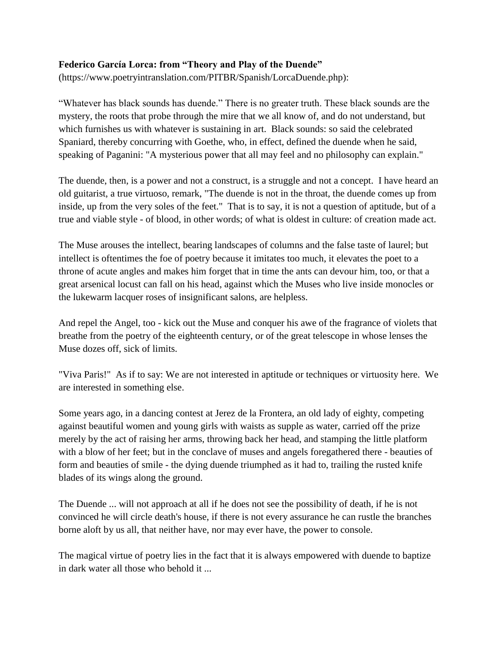## **Federico García Lorca: from "Theory and Play of the Duende"**

(https://www.poetryintranslation.com/PITBR/Spanish/LorcaDuende.php):

"Whatever has black sounds has duende." There is no greater truth. These black sounds are the mystery, the roots that probe through the mire that we all know of, and do not understand, but which furnishes us with whatever is sustaining in art. Black sounds: so said the celebrated Spaniard, thereby concurring with Goethe, who, in effect, defined the duende when he said, speaking of Paganini: "A mysterious power that all may feel and no philosophy can explain."

The duende, then, is a power and not a construct, is a struggle and not a concept. I have heard an old guitarist, a true virtuoso, remark, "The duende is not in the throat, the duende comes up from inside, up from the very soles of the feet." That is to say, it is not a question of aptitude, but of a true and viable style - of blood, in other words; of what is oldest in culture: of creation made act.

The Muse arouses the intellect, bearing landscapes of columns and the false taste of laurel; but intellect is oftentimes the foe of poetry because it imitates too much, it elevates the poet to a throne of acute angles and makes him forget that in time the ants can devour him, too, or that a great arsenical locust can fall on his head, against which the Muses who live inside monocles or the lukewarm lacquer roses of insignificant salons, are helpless.

And repel the Angel, too - kick out the Muse and conquer his awe of the fragrance of violets that breathe from the poetry of the eighteenth century, or of the great telescope in whose lenses the Muse dozes off, sick of limits.

"Viva Paris!" As if to say: We are not interested in aptitude or techniques or virtuosity here. We are interested in something else.

Some years ago, in a dancing contest at Jerez de la Frontera, an old lady of eighty, competing against beautiful women and young girls with waists as supple as water, carried off the prize merely by the act of raising her arms, throwing back her head, and stamping the little platform with a blow of her feet; but in the conclave of muses and angels foregathered there - beauties of form and beauties of smile - the dying duende triumphed as it had to, trailing the rusted knife blades of its wings along the ground.

The Duende ... will not approach at all if he does not see the possibility of death, if he is not convinced he will circle death's house, if there is not every assurance he can rustle the branches borne aloft by us all, that neither have, nor may ever have, the power to console.

The magical virtue of poetry lies in the fact that it is always empowered with duende to baptize in dark water all those who behold it ...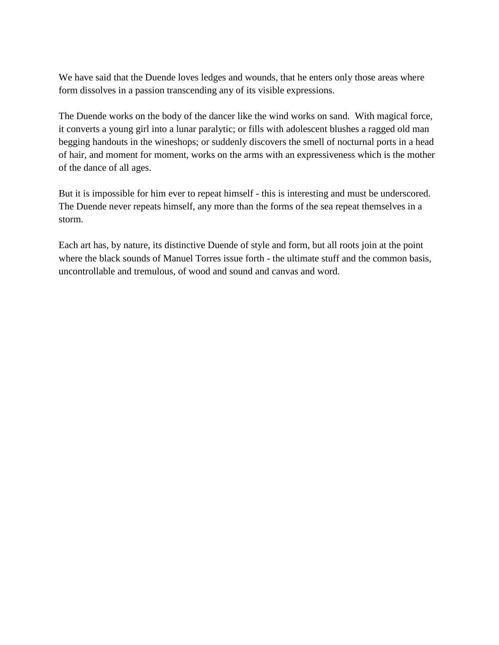We have said that the Duende loves ledges and wounds, that he enters only those areas where form dissolves in a passion transcending any of its visible expressions.

The Duende works on the body of the dancer like the wind works on sand. With magical force, it converts a young girl into a lunar paralytic; or fills with adolescent blushes a ragged old man begging handouts in the wineshops; or suddenly discovers the smell of nocturnal ports in a head of hair, and moment for moment, works on the arms with an expressiveness which is the mother of the dance of all ages.

But it is impossible for him ever to repeat himself - this is interesting and must be underscored. The Duende never repeats himself, any more than the forms of the sea repeat themselves in a storm.

Each art has, by nature, its distinctive Duende of style and form, but all roots join at the point where the black sounds of Manuel Torres issue forth - the ultimate stuff and the common basis, uncontrollable and tremulous, of wood and sound and canvas and word.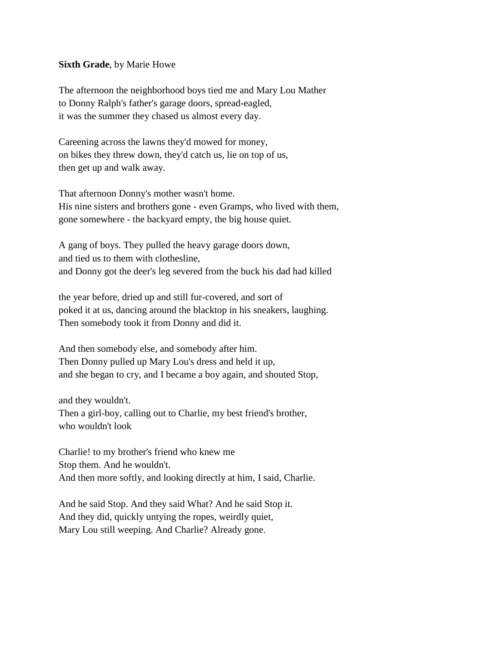### **Sixth Grade**, by Marie Howe

The afternoon the neighborhood boys tied me and Mary Lou Mather to Donny Ralph's father's garage doors, spread-eagled, it was the summer they chased us almost every day.

Careening across the lawns they'd mowed for money, on bikes they threw down, they'd catch us, lie on top of us, then get up and walk away.

That afternoon Donny's mother wasn't home. His nine sisters and brothers gone - even Gramps, who lived with them, gone somewhere - the backyard empty, the big house quiet.

A gang of boys. They pulled the heavy garage doors down, and tied us to them with clothesline, and Donny got the deer's leg severed from the buck his dad had killed

the year before, dried up and still fur-covered, and sort of poked it at us, dancing around the blacktop in his sneakers, laughing. Then somebody took it from Donny and did it.

And then somebody else, and somebody after him. Then Donny pulled up Mary Lou's dress and held it up, and she began to cry, and I became a boy again, and shouted Stop,

and they wouldn't. Then a girl-boy, calling out to Charlie, my best friend's brother, who wouldn't look

Charlie! to my brother's friend who knew me Stop them. And he wouldn't. And then more softly, and looking directly at him, I said, Charlie.

And he said Stop. And they said What? And he said Stop it. And they did, quickly untying the ropes, weirdly quiet, Mary Lou still weeping. And Charlie? Already gone.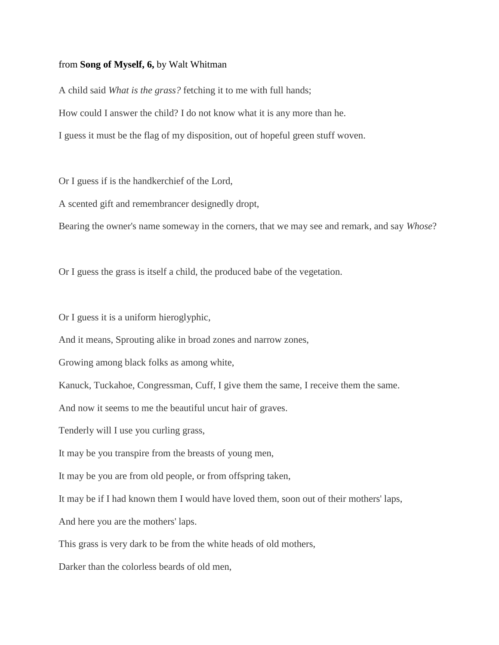#### from **Song of Myself, 6,** by Walt Whitman

A child said *What is the grass?* fetching it to me with full hands; How could I answer the child? I do not know what it is any more than he. I guess it must be the flag of my disposition, out of hopeful green stuff woven.

Or I guess if is the handkerchief of the Lord,

A scented gift and remembrancer designedly dropt,

Bearing the owner's name someway in the corners, that we may see and remark, and say *Whose*?

Or I guess the grass is itself a child, the produced babe of the vegetation.

Or I guess it is a uniform hieroglyphic,

And it means, Sprouting alike in broad zones and narrow zones,

Growing among black folks as among white,

Kanuck, Tuckahoe, Congressman, Cuff, I give them the same, I receive them the same.

And now it seems to me the beautiful uncut hair of graves.

Tenderly will I use you curling grass,

It may be you transpire from the breasts of young men,

It may be you are from old people, or from offspring taken,

It may be if I had known them I would have loved them, soon out of their mothers' laps,

And here you are the mothers' laps.

This grass is very dark to be from the white heads of old mothers,

Darker than the colorless beards of old men,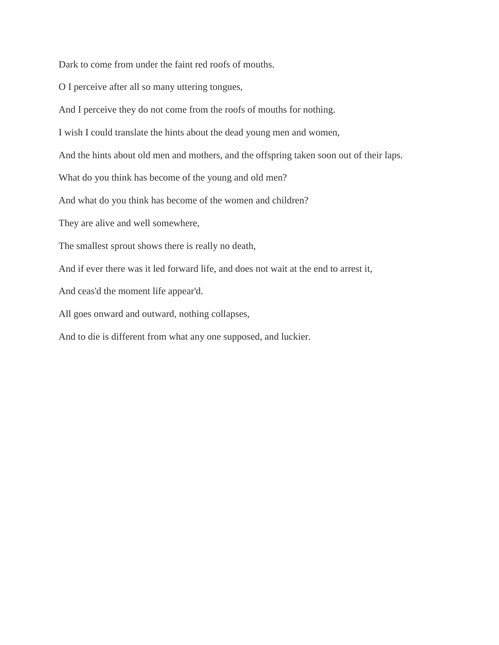Dark to come from under the faint red roofs of mouths.

O I perceive after all so many uttering tongues,

And I perceive they do not come from the roofs of mouths for nothing.

I wish I could translate the hints about the dead young men and women,

And the hints about old men and mothers, and the offspring taken soon out of their laps.

What do you think has become of the young and old men?

And what do you think has become of the women and children?

They are alive and well somewhere,

The smallest sprout shows there is really no death,

And if ever there was it led forward life, and does not wait at the end to arrest it,

And ceas'd the moment life appear'd.

All goes onward and outward, nothing collapses,

And to die is different from what any one supposed, and luckier.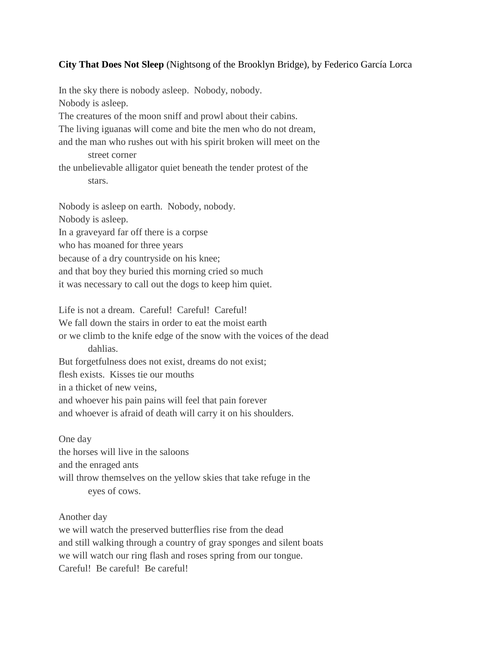## **City That Does Not Sleep** (Nightsong of the Brooklyn Bridge), by Federico García Lorca

In the sky there is nobody asleep. Nobody, nobody. Nobody is asleep. The creatures of the moon sniff and prowl about their cabins. The living iguanas will come and bite the men who do not dream, and the man who rushes out with his spirit broken will meet on the street corner

the unbelievable alligator quiet beneath the tender protest of the stars.

Nobody is asleep on earth. Nobody, nobody. Nobody is asleep. In a graveyard far off there is a corpse who has moaned for three years because of a dry countryside on his knee; and that boy they buried this morning cried so much it was necessary to call out the dogs to keep him quiet.

Life is not a dream. Careful! Careful! Careful! We fall down the stairs in order to eat the moist earth or we climb to the knife edge of the snow with the voices of the dead dahlias. But forgetfulness does not exist, dreams do not exist; flesh exists. Kisses tie our mouths in a thicket of new veins, and whoever his pain pains will feel that pain forever and whoever is afraid of death will carry it on his shoulders.

One day the horses will live in the saloons and the enraged ants will throw themselves on the yellow skies that take refuge in the eyes of cows.

Another day

we will watch the preserved butterflies rise from the dead and still walking through a country of gray sponges and silent boats we will watch our ring flash and roses spring from our tongue. Careful! Be careful! Be careful!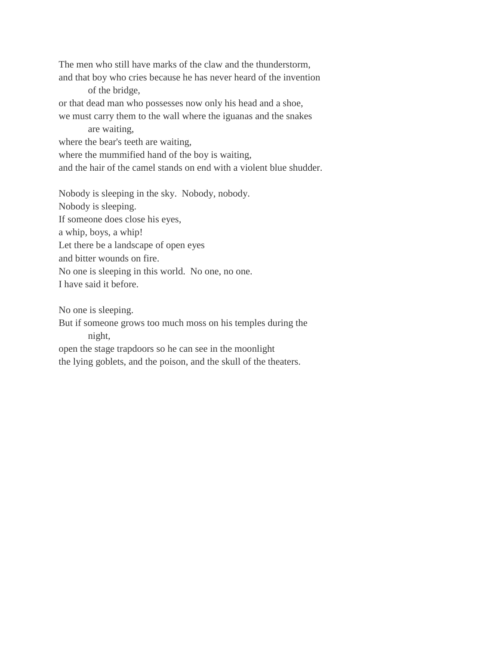The men who still have marks of the claw and the thunderstorm, and that boy who cries because he has never heard of the invention

 of the bridge, or that dead man who possesses now only his head and a shoe, we must carry them to the wall where the iguanas and the snakes

are waiting,

where the bear's teeth are waiting,

where the mummified hand of the boy is waiting,

and the hair of the camel stands on end with a violent blue shudder.

Nobody is sleeping in the sky. Nobody, nobody.

Nobody is sleeping.

If someone does close his eyes,

a whip, boys, a whip!

Let there be a landscape of open eyes

and bitter wounds on fire.

No one is sleeping in this world. No one, no one.

I have said it before.

No one is sleeping.

But if someone grows too much moss on his temples during the night, open the stage trapdoors so he can see in the moonlight

the lying goblets, and the poison, and the skull of the theaters.